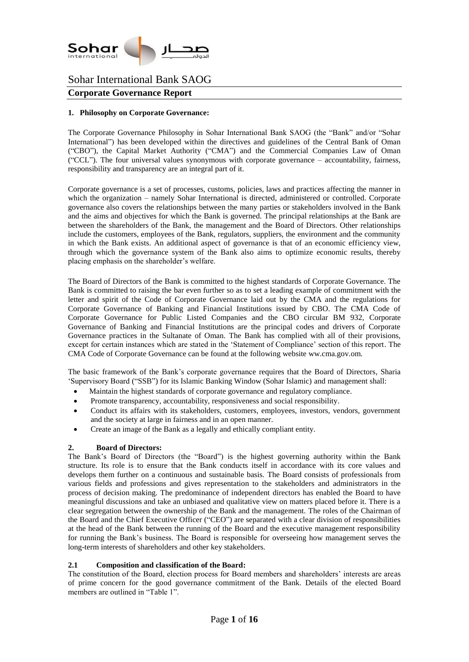

# **Corporate Governance Report**

### **1. Philosophy on Corporate Governance:**

The Corporate Governance Philosophy in Sohar International Bank SAOG (the "Bank" and/or "Sohar International") has been developed within the directives and guidelines of the Central Bank of Oman ("CBO"), the Capital Market Authority ("CMA") and the Commercial Companies Law of Oman ("CCL"). The four universal values synonymous with corporate governance – accountability, fairness, responsibility and transparency are an integral part of it.

Corporate governance is a set of processes, customs, policies, laws and practices affecting the manner in which the organization – namely Sohar International is directed, administered or controlled. Corporate governance also covers the relationships between the many parties or stakeholders involved in the Bank and the aims and objectives for which the Bank is governed. The principal relationships at the Bank are between the shareholders of the Bank, the management and the Board of Directors. Other relationships include the customers, employees of the Bank, regulators, suppliers, the environment and the community in which the Bank exists. An additional aspect of governance is that of an economic efficiency view, through which the governance system of the Bank also aims to optimize economic results, thereby placing emphasis on the shareholder's welfare.

The Board of Directors of the Bank is committed to the highest standards of Corporate Governance. The Bank is committed to raising the bar even further so as to set a leading example of commitment with the letter and spirit of the Code of Corporate Governance laid out by the CMA and the regulations for Corporate Governance of Banking and Financial Institutions issued by CBO. The CMA Code of Corporate Governance for Public Listed Companies and the CBO circular BM 932, Corporate Governance of Banking and Financial Institutions are the principal codes and drivers of Corporate Governance practices in the Sultanate of Oman. The Bank has complied with all of their provisions, except for certain instances which are stated in the 'Statement of Compliance' section of this report. The CMA Code of Corporate Governance can be found at the following website ww.cma.gov.om.

The basic framework of the Bank's corporate governance requires that the Board of Directors, Sharia 'Supervisory Board ("SSB") for its Islamic Banking Window (Sohar Islamic) and management shall:

- Maintain the highest standards of corporate governance and regulatory compliance.
- Promote transparency, accountability, responsiveness and social responsibility.
- Conduct its affairs with its stakeholders, customers, employees, investors, vendors, government and the society at large in fairness and in an open manner.
- Create an image of the Bank as a legally and ethically compliant entity.

### **2. Board of Directors:**

The Bank's Board of Directors (the "Board") is the highest governing authority within the Bank structure. Its role is to ensure that the Bank conducts itself in accordance with its core values and develops them further on a continuous and sustainable basis. The Board consists of professionals from various fields and professions and gives representation to the stakeholders and administrators in the process of decision making. The predominance of independent directors has enabled the Board to have meaningful discussions and take an unbiased and qualitative view on matters placed before it. There is a clear segregation between the ownership of the Bank and the management. The roles of the Chairman of the Board and the Chief Executive Officer ("CEO") are separated with a clear division of responsibilities at the head of the Bank between the running of the Board and the executive management responsibility for running the Bank's business. The Board is responsible for overseeing how management serves the long-term interests of shareholders and other key stakeholders.

### **2.1 Composition and classification of the Board:**

The constitution of the Board, election process for Board members and shareholders' interests are areas of prime concern for the good governance commitment of the Bank. Details of the elected Board members are outlined in "Table 1".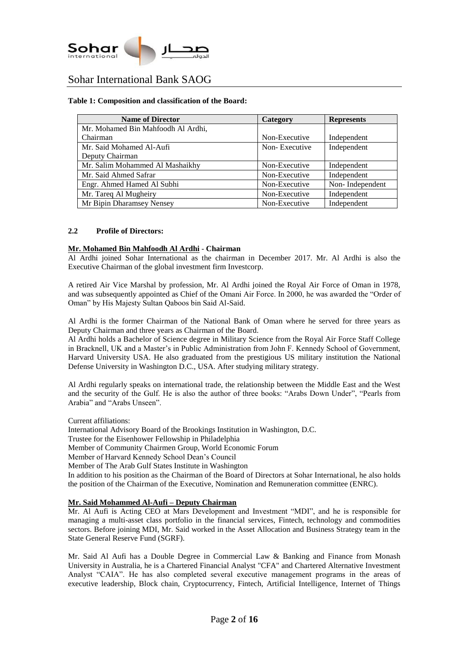

#### **Table 1: Composition and classification of the Board:**

| <b>Name of Director</b>            | <b>Category</b> | <b>Represents</b> |
|------------------------------------|-----------------|-------------------|
| Mr. Mohamed Bin Mahfoodh Al Ardhi, |                 |                   |
| Chairman                           | Non-Executive   | Independent       |
| Mr. Said Mohamed Al-Aufi           | Non-Executive   | Independent       |
| Deputy Chairman                    |                 |                   |
| Mr. Salim Mohammed Al Mashaikhy    | Non-Executive   | Independent       |
| Mr. Said Ahmed Safrar              | Non-Executive   | Independent       |
| Engr. Ahmed Hamed Al Subhi         | Non-Executive   | Non-Independent   |
| Mr. Tareq Al Mugheiry              | Non-Executive   | Independent       |
| Mr Bipin Dharamsey Nensey          | Non-Executive   | Independent       |

#### **2.2 Profile of Directors:**

#### **Mr. Mohamed Bin Mahfoodh Al Ardhi** - **Chairman**

Al Ardhi joined Sohar International as the chairman in December 2017. Mr. Al Ardhi is also the Executive Chairman of the global investment firm Investcorp.

A retired Air Vice Marshal by profession, Mr. Al Ardhi joined the Royal Air Force of Oman in 1978, and was subsequently appointed as Chief of the Omani Air Force. In 2000, he was awarded the "Order of Oman" by His Majesty Sultan Qaboos bin Said Al-Said.

Al Ardhi is the former Chairman of the National Bank of Oman where he served for three years as Deputy Chairman and three years as Chairman of the Board.

Al Ardhi holds a Bachelor of Science degree in Military Science from the Royal Air Force Staff College in Bracknell, UK and a Master's in Public Administration from John F. Kennedy School of Government, Harvard University USA. He also graduated from the prestigious US military institution the National Defense University in Washington D.C., USA. After studying military strategy.

Al Ardhi regularly speaks on international trade, the relationship between the Middle East and the West and the security of the Gulf. He is also the author of three books: "Arabs Down Under", "Pearls from Arabia" and "Arabs Unseen".

Current affiliations:

International Advisory Board of the Brookings Institution in Washington, D.C.

Trustee for the Eisenhower Fellowship in Philadelphia

Member of Community Chairmen Group, World Economic Forum

Member of Harvard Kennedy School Dean's Council

Member of The Arab Gulf States Institute in Washington

In addition to his position as the Chairman of the Board of Directors at Sohar International, he also holds the position of the Chairman of the Executive, Nomination and Remuneration committee (ENRC).

#### **Mr. Said Mohammed Al-Aufi – Deputy Chairman**

Mr. Al Aufi is Acting CEO at Mars Development and Investment "MDI", and he is responsible for managing a multi-asset class portfolio in the financial services, Fintech, technology and commodities sectors. Before joining MDI, Mr. Said worked in the Asset Allocation and Business Strategy team in the State General Reserve Fund (SGRF).

Mr. Said Al Aufi has a Double Degree in Commercial Law & Banking and Finance from Monash University in Australia, he is a Chartered Financial Analyst "CFA" and Chartered Alternative Investment Analyst "CAIA". He has also completed several executive management programs in the areas of executive leadership, Block chain, Cryptocurrency, Fintech, Artificial Intelligence, Internet of Things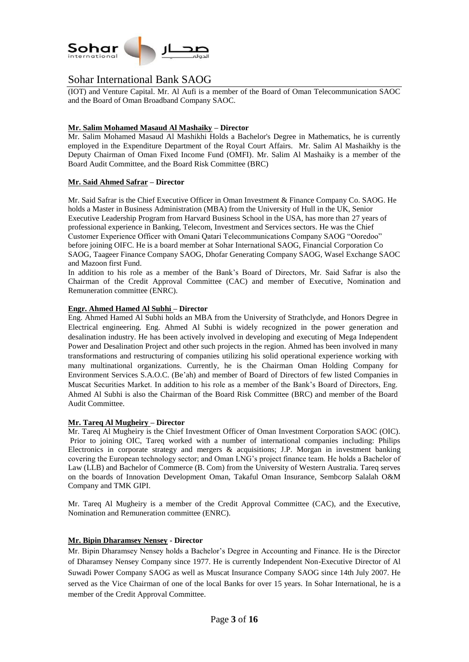

(IOT) and Venture Capital. Mr. Al Aufi is a member of the Board of Oman Telecommunication SAOC and the Board of Oman Broadband Company SAOC.

### **Mr. Salim Mohamed Masaud Al Mashaiky – Director**

Mr. Salim Mohamed Masaud Al Mashikhi Holds a Bachelor's Degree in Mathematics, he is currently employed in the Expenditure Department of the Royal Court Affairs. Mr. Salim Al Mashaikhy is the Deputy Chairman of Oman Fixed Income Fund (OMFI). Mr. Salim Al Mashaiky is a member of the Board Audit Committee, and the Board Risk Committee (BRC)

### **Mr. Said Ahmed Safrar – Director**

Mr. Said Safrar is the Chief Executive Officer in Oman Investment & Finance Company Co. SAOG. He holds a Master in Business Administration (MBA) from the University of Hull in the UK, Senior Executive Leadership Program from Harvard Business School in the USA, has more than 27 years of professional experience in Banking, Telecom, Investment and Services sectors. He was the Chief Customer Experience Officer with Omani Qatari Telecommunications Company SAOG "Ooredoo" before joining OIFC. He is a board member at Sohar International SAOG, Financial Corporation Co SAOG, Taageer Finance Company SAOG, Dhofar Generating Company SAOG, Wasel Exchange SAOC and Mazoon first Fund.

In addition to his role as a member of the Bank's Board of Directors, Mr. Said Safrar is also the Chairman of the Credit Approval Committee (CAC) and member of Executive, Nomination and Remuneration committee (ENRC).

#### **Engr. Ahmed Hamed Al Subhi – Director**

Eng. Ahmed Hamed Al Subhi holds an MBA from the University of Strathclyde, and Honors Degree in Electrical engineering. Eng. Ahmed Al Subhi is widely recognized in the power generation and desalination industry. He has been actively involved in developing and executing of Mega Independent Power and Desalination Project and other such projects in the region. Ahmed has been involved in many transformations and restructuring of companies utilizing his solid operational experience working with many multinational organizations. Currently, he is the Chairman Oman Holding Company for Environment Services S.A.O.C. (Be'ah) and member of Board of Directors of few listed Companies in Muscat Securities Market. In addition to his role as a member of the Bank's Board of Directors, Eng. Ahmed Al Subhi is also the Chairman of the Board Risk Committee (BRC) and member of the Board Audit Committee.

#### **Mr. Tareq Al Mugheiry – Director**

Mr. Tareq Al Mugheiry is the Chief Investment Officer of Oman Investment Corporation SAOC (OIC). Prior to joining OIC, Tareq worked with a number of international companies including: Philips Electronics in corporate strategy and mergers & acquisitions; J.P. Morgan in investment banking covering the European technology sector; and Oman LNG's project finance team. He holds a Bachelor of Law (LLB) and Bachelor of Commerce (B. Com) from the University of Western Australia. Tareq serves on the boards of Innovation Development Oman, Takaful Oman Insurance, Sembcorp Salalah O&M Company and TMK GIPI.

Mr. Tareq Al Mugheiry is a member of the Credit Approval Committee (CAC), and the Executive, Nomination and Remuneration committee (ENRC).

#### **Mr. Bipin Dharamsey Nensey - Director**

Mr. Bipin Dharamsey Nensey holds a Bachelor's Degree in Accounting and Finance. He is the Director of Dharamsey Nensey Company since 1977. He is currently Independent Non-Executive Director of Al Suwadi Power Company SAOG as well as Muscat Insurance Company SAOG since 14th July 2007. He served as the Vice Chairman of one of the local Banks for over 15 years. In Sohar International, he is a member of the Credit Approval Committee.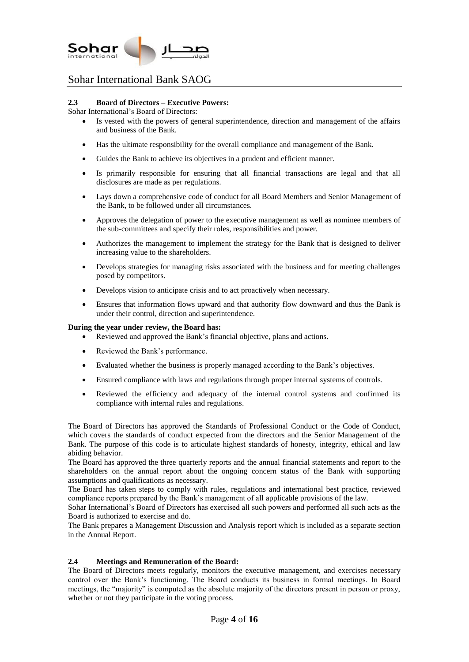

### **2.3 Board of Directors – Executive Powers:**

Sohar International's Board of Directors:

- Is vested with the powers of general superintendence, direction and management of the affairs and business of the Bank.
- Has the ultimate responsibility for the overall compliance and management of the Bank.
- Guides the Bank to achieve its objectives in a prudent and efficient manner.
- Is primarily responsible for ensuring that all financial transactions are legal and that all disclosures are made as per regulations.
- Lays down a comprehensive code of conduct for all Board Members and Senior Management of the Bank, to be followed under all circumstances.
- Approves the delegation of power to the executive management as well as nominee members of the sub-committees and specify their roles, responsibilities and power.
- Authorizes the management to implement the strategy for the Bank that is designed to deliver increasing value to the shareholders.
- Develops strategies for managing risks associated with the business and for meeting challenges posed by competitors.
- Develops vision to anticipate crisis and to act proactively when necessary.
- Ensures that information flows upward and that authority flow downward and thus the Bank is under their control, direction and superintendence.

### **During the year under review, the Board has:**

- Reviewed and approved the Bank's financial objective, plans and actions.
- Reviewed the Bank's performance.
- Evaluated whether the business is properly managed according to the Bank's objectives.
- Ensured compliance with laws and regulations through proper internal systems of controls.
- Reviewed the efficiency and adequacy of the internal control systems and confirmed its compliance with internal rules and regulations.

The Board of Directors has approved the Standards of Professional Conduct or the Code of Conduct, which covers the standards of conduct expected from the directors and the Senior Management of the Bank. The purpose of this code is to articulate highest standards of honesty, integrity, ethical and law abiding behavior.

The Board has approved the three quarterly reports and the annual financial statements and report to the shareholders on the annual report about the ongoing concern status of the Bank with supporting assumptions and qualifications as necessary.

The Board has taken steps to comply with rules, regulations and international best practice, reviewed compliance reports prepared by the Bank's management of all applicable provisions of the law.

Sohar International's Board of Directors has exercised all such powers and performed all such acts as the Board is authorized to exercise and do.

The Bank prepares a Management Discussion and Analysis report which is included as a separate section in the Annual Report.

### **2.4 Meetings and Remuneration of the Board:**

The Board of Directors meets regularly, monitors the executive management, and exercises necessary control over the Bank's functioning. The Board conducts its business in formal meetings. In Board meetings, the "majority" is computed as the absolute majority of the directors present in person or proxy, whether or not they participate in the voting process.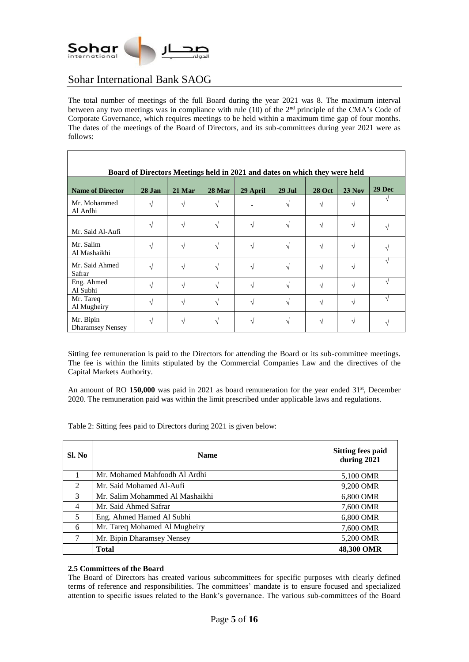

The total number of meetings of the full Board during the year 2021 was 8. The maximum interval between any two meetings was in compliance with rule  $(10)$  of the  $2<sup>nd</sup>$  principle of the CMA's Code of Corporate Governance, which requires meetings to be held within a maximum time gap of four months. The dates of the meetings of the Board of Directors, and its sub-committees during year 2021 were as follows:

| Board of Directors Meetings held in 2021 and dates on which they were held |                          |        |               |          |            |               |          |        |
|----------------------------------------------------------------------------|--------------------------|--------|---------------|----------|------------|---------------|----------|--------|
| <b>Name of Director</b>                                                    | 28 Jan                   | 21 Mar | <b>28 Mar</b> | 29 April | $29$ Jul   | <b>28 Oct</b> | $23$ Nov | 29 Dec |
| Mr. Mohammed<br>Al Ardhi                                                   |                          |        |               |          |            |               |          |        |
| Mr. Said Al-Aufi                                                           | $\sqrt{ }$               | N      |               |          | $\sqrt{ }$ | V             | N        |        |
| Mr. Salim<br>Al Mashaikhi                                                  | N                        | N      |               |          | $\sqrt{ }$ |               |          |        |
| Mr. Said Ahmed<br>Safrar                                                   |                          | N      |               |          | N          |               | ٦Ι       |        |
| Eng. Ahmed<br>Al Subhi                                                     | $\overline{\mathcal{N}}$ | اد     |               |          | $\sqrt{ }$ | V             | V        |        |
| Mr. Tareq<br>Al Mugheiry                                                   | N                        | V      |               |          | N          | V             | V        |        |
| Mr. Bipin<br><b>Dharamsey Nensey</b>                                       |                          |        |               |          |            |               |          |        |

Sitting fee remuneration is paid to the Directors for attending the Board or its sub-committee meetings. The fee is within the limits stipulated by the Commercial Companies Law and the directives of the Capital Markets Authority.

An amount of RO 150,000 was paid in 2021 as board remuneration for the year ended 31<sup>st</sup>, December 2020. The remuneration paid was within the limit prescribed under applicable laws and regulations.

Table 2: Sitting fees paid to Directors during 2021 is given below:

| Sl. No         | <b>Name</b>                     | <b>Sitting fees paid</b><br>during 2021 |
|----------------|---------------------------------|-----------------------------------------|
| 1              | Mr. Mohamed Mahfoodh Al Ardhi   | 5,100 OMR                               |
| $\mathcal{L}$  | Mr. Said Mohamed Al-Aufi        | 9,200 OMR                               |
| 3              | Mr. Salim Mohammed Al Mashaikhi | 6,800 OMR                               |
| $\overline{4}$ | Mr. Said Ahmed Safrar           | 7,600 OMR                               |
| 5              | Eng. Ahmed Hamed Al Subhi       | 6,800 OMR                               |
| 6              | Mr. Tareq Mohamed Al Mugheiry   | 7,600 OMR                               |
| 7              | Mr. Bipin Dharamsey Nensey      | 5,200 OMR                               |
|                | <b>Total</b>                    | 48,300 OMR                              |

#### **2.5 Committees of the Board**

The Board of Directors has created various subcommittees for specific purposes with clearly defined terms of reference and responsibilities. The committees' mandate is to ensure focused and specialized attention to specific issues related to the Bank's governance. The various sub-committees of the Board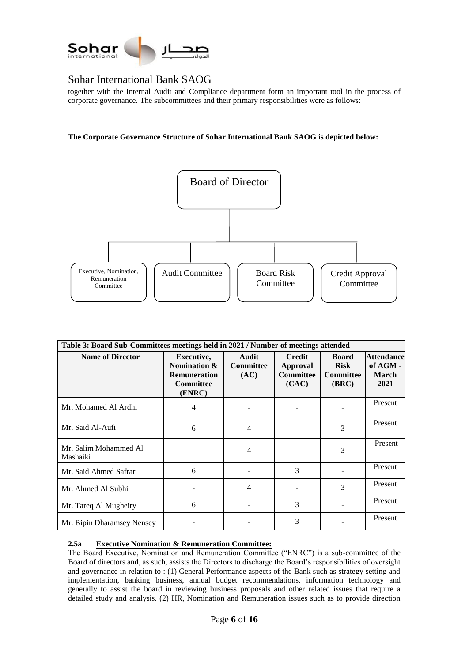

together with the Internal Audit and Compliance department form an important tool in the process of corporate governance. The subcommittees and their primary responsibilities were as follows:

**The Corporate Governance Structure of Sohar International Bank SAOG is depicted below:**



| Table 3: Board Sub-Committees meetings held in 2021 / Number of meetings attended |                                                                                 |                                          |                                                               |                                                          |                                                       |  |  |
|-----------------------------------------------------------------------------------|---------------------------------------------------------------------------------|------------------------------------------|---------------------------------------------------------------|----------------------------------------------------------|-------------------------------------------------------|--|--|
| <b>Name of Director</b>                                                           | Executive,<br>Nomination &<br><b>Remuneration</b><br><b>Committee</b><br>(ENRC) | <b>Audit</b><br><b>Committee</b><br>(AC) | <b>Credit</b><br><b>Approval</b><br><b>Committee</b><br>(CAC) | <b>Board</b><br><b>Risk</b><br><b>Committee</b><br>(BRC) | <b>Attendance</b><br>of AGM -<br><b>March</b><br>2021 |  |  |
| Mr. Mohamed Al Ardhi                                                              | 4                                                                               |                                          |                                                               |                                                          | Present                                               |  |  |
| Mr. Said Al-Aufi                                                                  | 6                                                                               | 4                                        |                                                               | 3                                                        | Present                                               |  |  |
| Mr. Salim Mohammed Al<br>Mashaiki                                                 |                                                                                 | 4                                        |                                                               | 3                                                        | Present                                               |  |  |
| Mr. Said Ahmed Safrar                                                             | 6                                                                               |                                          | 3                                                             |                                                          | Present                                               |  |  |
| Mr. Ahmed Al Subhi                                                                |                                                                                 | 4                                        |                                                               | 3                                                        | Present                                               |  |  |
| Mr. Tareq Al Mugheiry                                                             | 6                                                                               |                                          | 3                                                             |                                                          | Present                                               |  |  |
| Mr. Bipin Dharamsey Nensey                                                        |                                                                                 |                                          | 3                                                             |                                                          | Present                                               |  |  |

### **2.5a Executive Nomination & Remuneration Committee:**

The Board Executive, Nomination and Remuneration Committee ("ENRC") is a sub-committee of the Board of directors and, as such, assists the Directors to discharge the Board's responsibilities of oversight and governance in relation to : (1) General Performance aspects of the Bank such as strategy setting and implementation, banking business, annual budget recommendations, information technology and generally to assist the board in reviewing business proposals and other related issues that require a detailed study and analysis. (2) HR, Nomination and Remuneration issues such as to provide direction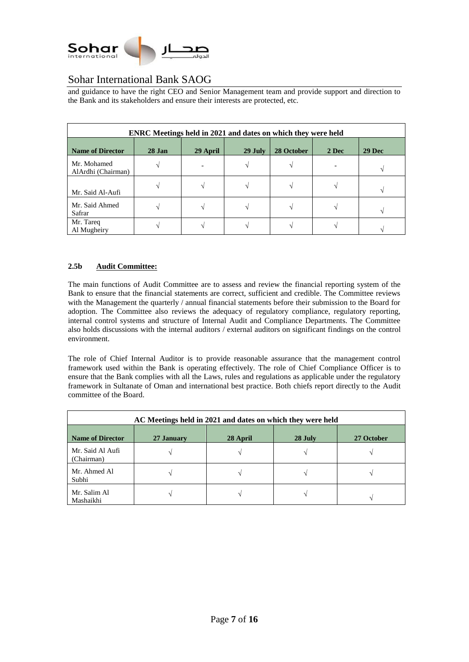

and guidance to have the right CEO and Senior Management team and provide support and direction to the Bank and its stakeholders and ensure their interests are protected, etc.

| <b>ENRC Meetings held in 2021 and dates on which they were held</b> |          |          |         |            |       |        |
|---------------------------------------------------------------------|----------|----------|---------|------------|-------|--------|
| <b>Name of Director</b>                                             | $28$ Jan | 29 April | 29 July | 28 October | 2 Dec | 29 Dec |
| Mr. Mohamed<br>AlArdhi (Chairman)                                   |          |          |         |            |       |        |
| Mr. Said Al-Aufi                                                    |          |          |         |            |       |        |
| Mr. Said Ahmed<br>Safrar                                            |          |          |         |            |       |        |
| Mr. Tareq<br>Al Mugheiry                                            |          |          |         |            |       |        |

# **2.5b Audit Committee:**

The main functions of Audit Committee are to assess and review the financial reporting system of the Bank to ensure that the financial statements are correct, sufficient and credible. The Committee reviews with the Management the quarterly / annual financial statements before their submission to the Board for adoption. The Committee also reviews the adequacy of regulatory compliance, regulatory reporting, internal control systems and structure of Internal Audit and Compliance Departments. The Committee also holds discussions with the internal auditors / external auditors on significant findings on the control environment.

The role of Chief Internal Auditor is to provide reasonable assurance that the management control framework used within the Bank is operating effectively. The role of Chief Compliance Officer is to ensure that the Bank complies with all the Laws, rules and regulations as applicable under the regulatory framework in Sultanate of Oman and international best practice. Both chiefs report directly to the Audit committee of the Board.

| AC Meetings held in 2021 and dates on which they were held |            |          |                          |            |  |  |
|------------------------------------------------------------|------------|----------|--------------------------|------------|--|--|
| <b>Name of Director</b>                                    | 27 January | 28 April | 28 July                  | 27 October |  |  |
| Mr. Said Al Aufi<br>(Chairman)                             |            |          |                          |            |  |  |
| Mr. Ahmed Al<br>Subhi                                      |            |          |                          |            |  |  |
| Mr. Salim Al<br>Mashaikhi                                  |            |          | $\overline{\phantom{a}}$ |            |  |  |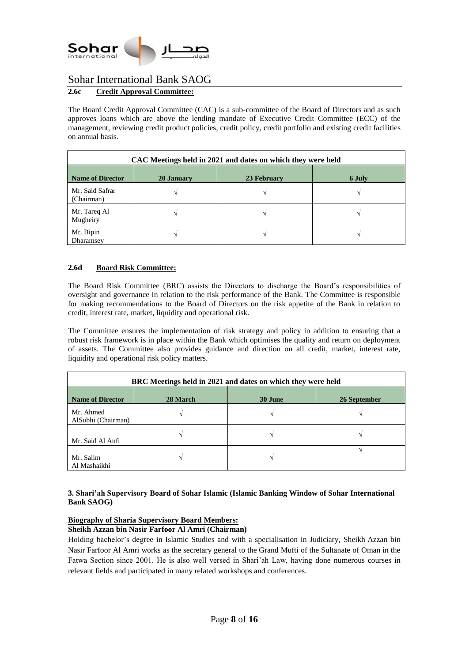

# **2.6c Credit Approval Committee:**

The Board Credit Approval Committee (CAC) is a sub-committee of the Board of Directors and as such approves loans which are above the lending mandate of Executive Credit Committee (ECC) of the management, reviewing credit product policies, credit policy, credit portfolio and existing credit facilities on annual basis.

| CAC Meetings held in 2021 and dates on which they were held |            |             |        |  |  |  |
|-------------------------------------------------------------|------------|-------------|--------|--|--|--|
| <b>Name of Director</b>                                     | 20 January | 23 February | 6 July |  |  |  |
| Mr. Said Safrar<br>(Chairman)                               |            |             |        |  |  |  |
| Mr. Tareq Al<br>Mugheiry                                    |            |             |        |  |  |  |
| Mr. Bipin<br>Dharamsey                                      |            |             |        |  |  |  |

# **2.6d Board Risk Committee:**

The Board Risk Committee (BRC) assists the Directors to discharge the Board's responsibilities of oversight and governance in relation to the risk performance of the Bank. The Committee is responsible for making recommendations to the Board of Directors on the risk appetite of the Bank in relation to credit, interest rate, market, liquidity and operational risk.

The Committee ensures the implementation of risk strategy and policy in addition to ensuring that a robust risk framework is in place within the Bank which optimises the quality and return on deployment of assets. The Committee also provides guidance and direction on all credit, market, interest rate, liquidity and operational risk policy matters.

| BRC Meetings held in 2021 and dates on which they were held |          |         |              |  |  |
|-------------------------------------------------------------|----------|---------|--------------|--|--|
| <b>Name of Director</b>                                     | 28 March | 30 June | 26 September |  |  |
| Mr. Ahmed<br>AlSubhi (Chairman)                             |          |         |              |  |  |
| Mr. Said Al Aufi                                            |          |         |              |  |  |
| Mr. Salim<br>Al Mashaikhi                                   |          |         |              |  |  |

### **3. Shari'ah Supervisory Board of Sohar Islamic (Islamic Banking Window of Sohar International Bank SAOG)**

### **Biography of Sharia Supervisory Board Members:**

### **Sheikh Azzan bin Nasir Farfoor Al Amri (Chairman)**

Holding bachelor's degree in Islamic Studies and with a specialisation in Judiciary, Sheikh Azzan bin Nasir Farfoor Al Amri works as the secretary general to the Grand Mufti of the Sultanate of Oman in the Fatwa Section since 2001. He is also well versed in Shari'ah Law, having done numerous courses in relevant fields and participated in many related workshops and conferences.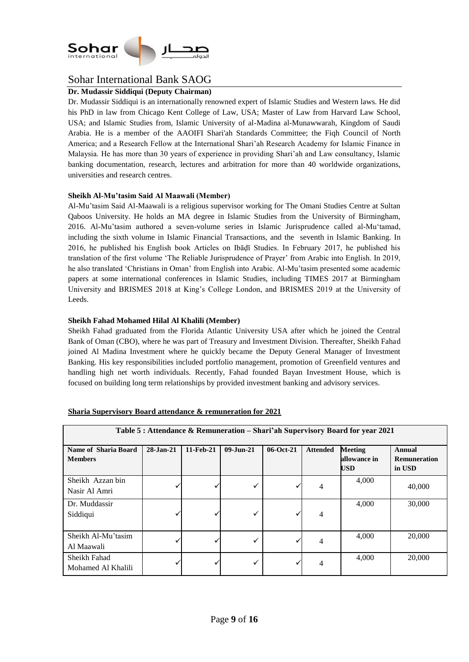

# **Dr. Mudassir Siddiqui (Deputy Chairman)**

Dr. Mudassir Siddiqui is an internationally renowned expert of Islamic Studies and Western laws. He did his PhD in law from Chicago Kent College of Law, USA; Master of Law from Harvard Law School, USA; and Islamic Studies from, Islamic University of al-Madina al-Munawwarah, Kingdom of Saudi Arabia. He is a member of the AAOIFI Shari'ah Standards Committee; the Fiqh Council of North America; and a Research Fellow at the International Shari'ah Research Academy for Islamic Finance in Malaysia. He has more than 30 years of experience in providing Shari'ah and Law consultancy, Islamic banking documentation, research, lectures and arbitration for more than 40 worldwide organizations, universities and research centres.

### **Sheikh Al-Mu'tasim Said Al Maawali (Member)**

Al-Mu'tasim Said Al-Maawali is a religious supervisor working for The Omani Studies Centre at Sultan Qaboos University. He holds an MA degree in Islamic Studies from the University of Birmingham, 2016. Al-Mu'tasim authored a seven-volume series in Islamic Jurisprudence called al-Mu'tamad, including the sixth volume in Islamic Financial Transactions, and the seventh in Islamic Banking. In 2016, he published his English book Articles on Ibāḍī Studies. In February 2017, he published his translation of the first volume 'The Reliable Jurisprudence of Prayer' from Arabic into English. In 2019, he also translated 'Christians in Oman' from English into Arabic. Al-Mu'tasim presented some academic papers at some international conferences in Islamic Studies, including TIMES 2017 at Birmingham University and BRISMES 2018 at King's College London, and BRISMES 2019 at the University of Leeds.

### **Sheikh Fahad Mohamed Hilal Al Khalili (Member)**

Sheikh Fahad graduated from the Florida Atlantic University USA after which he joined the Central Bank of Oman (CBO), where he was part of Treasury and Investment Division. Thereafter, Sheikh Fahad joined Al Madina Investment where he quickly became the Deputy General Manager of Investment Banking. His key responsibilities included portfolio management, promotion of Greenfield ventures and handling high net worth individuals. Recently, Fahad founded Bayan Investment House, which is focused on building long term relationships by provided investment banking and advisory services.

| Table 5 : Attendance & Remuneration – Shari'ah Supervisory Board for year 2021 |                 |           |                 |             |                 |                                |                                      |
|--------------------------------------------------------------------------------|-----------------|-----------|-----------------|-------------|-----------------|--------------------------------|--------------------------------------|
| Name of Sharia Board<br><b>Members</b>                                         | $28 - Jan - 21$ | 11-Feb-21 | $09 - Jun - 21$ | $06-Oct-21$ | <b>Attended</b> | <b>Meeting</b><br>allowance in | <b>Annual</b><br><b>Remuneration</b> |
|                                                                                |                 |           |                 |             |                 | <b>USD</b>                     | in USD                               |
| Sheikh Azzan bin<br>Nasir Al Amri                                              |                 |           |                 |             | 4               | 4,000                          | 40,000                               |
| Dr. Muddassir<br>Siddiqui                                                      |                 |           |                 |             | 4               | 4,000                          | 30,000                               |
| Sheikh Al-Mu'tasim<br>Al Maawali                                               |                 |           |                 |             | 4               | 4,000                          | 20,000                               |
| Sheikh Fahad<br>Mohamed Al Khalili                                             |                 |           |                 |             | 4               | 4,000                          | 20,000                               |

#### **Sharia Supervisory Board attendance & remuneration for 2021**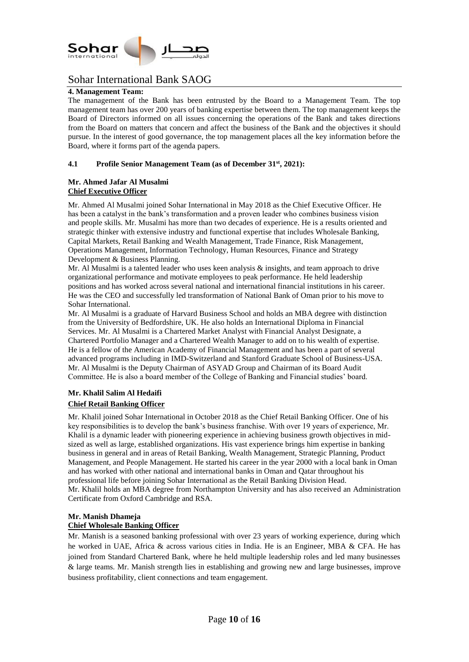

### **4. Management Team:**

The management of the Bank has been entrusted by the Board to a Management Team. The top management team has over 200 years of banking expertise between them. The top management keeps the Board of Directors informed on all issues concerning the operations of the Bank and takes directions from the Board on matters that concern and affect the business of the Bank and the objectives it should pursue. In the interest of good governance, the top management places all the key information before the Board, where it forms part of the agenda papers.

### **4.1 Profile Senior Management Team (as of December 31st , 2021):**

### **Mr. Ahmed Jafar Al Musalmi Chief Executive Officer**

Mr. Ahmed Al Musalmi joined Sohar International in May 2018 as the Chief Executive Officer. He has been a catalyst in the bank's transformation and a proven leader who combines business vision and people skills. Mr. Musalmi has more than two decades of experience. He is a results oriented and strategic thinker with extensive industry and functional expertise that includes Wholesale Banking, Capital Markets, Retail Banking and Wealth Management, Trade Finance, Risk Management, Operations Management, Information Technology, Human Resources, Finance and Strategy Development & Business Planning.

Mr. Al Musalmi is a talented leader who uses keen analysis  $\&$  insights, and team approach to drive organizational performance and motivate employees to peak performance. He held leadership positions and has worked across several national and international financial institutions in his career. He was the CEO and successfully led transformation of National Bank of Oman prior to his move to Sohar International.

Mr. Al Musalmi is a graduate of Harvard Business School and holds an MBA degree with distinction from the University of Bedfordshire, UK. He also holds an International Diploma in Financial Services. Mr. Al Musalmi is a Chartered Market Analyst with Financial Analyst Designate, a Chartered Portfolio Manager and a Chartered Wealth Manager to add on to his wealth of expertise. He is a fellow of the American Academy of Financial Management and has been a part of several advanced programs including in IMD-Switzerland and Stanford Graduate School of Business-USA. Mr. Al Musalmi is the Deputy Chairman of ASYAD Group and Chairman of its Board Audit Committee. He is also a board member of the College of Banking and Financial studies' board.

### **Mr. Khalil Salim Al Hedaifi Chief Retail Banking Officer**

Mr. Khalil joined Sohar International in October 2018 as the Chief Retail Banking Officer. One of his key responsibilities is to develop the bank's business franchise. With over 19 years of experience, Mr. Khalil is a dynamic leader with pioneering experience in achieving business growth objectives in midsized as well as large, established organizations. His vast experience brings him expertise in banking business in general and in areas of Retail Banking, Wealth Management, Strategic Planning, Product Management, and People Management. He started his career in the year 2000 with a local bank in Oman and has worked with other national and international banks in Oman and Qatar throughout his professional life before joining Sohar International as the Retail Banking Division Head. Mr. Khalil holds an MBA degree from Northampton University and has also received an Administration Certificate from Oxford Cambridge and RSA.

# **Mr. Manish Dhameja**

### **Chief Wholesale Banking Officer**

Mr. Manish is a seasoned banking professional with over 23 years of working experience, during which he worked in UAE, Africa & across various cities in India. He is an Engineer, MBA & CFA. He has joined from Standard Chartered Bank, where he held multiple leadership roles and led many businesses & large teams. Mr. Manish strength lies in establishing and growing new and large businesses, improve business profitability, client connections and team engagement.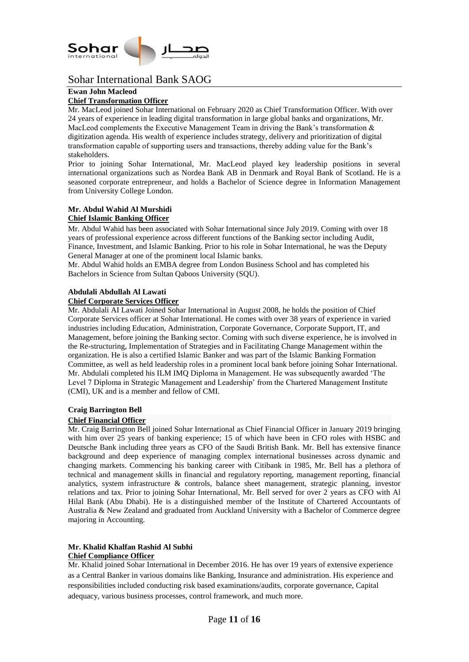

### **Ewan John Macleod**

### **Chief Transformation Officer**

Mr. MacLeod joined Sohar International on February 2020 as Chief Transformation Officer. With over 24 years of experience in leading digital transformation in large global banks and organizations, Mr. MacLeod complements the Executive Management Team in driving the Bank's transformation  $\&$ digitization agenda. His wealth of experience includes strategy, delivery and prioritization of digital transformation capable of supporting users and transactions, thereby adding value for the Bank's stakeholders.

Prior to joining Sohar International, Mr. MacLeod played key leadership positions in several international organizations such as Nordea Bank AB in Denmark and Royal Bank of Scotland. He is a seasoned corporate entrepreneur, and holds a Bachelor of Science degree in Information Management from University College London.

# **Mr. Abdul Wahid Al Murshidi**

### **Chief Islamic Banking Officer**

Mr. Abdul Wahid has been associated with Sohar International since July 2019. Coming with over 18 years of professional experience across different functions of the Banking sector including Audit, Finance, Investment, and Islamic Banking. Prior to his role in Sohar International, he was the Deputy General Manager at one of the prominent local Islamic banks.

Mr. Abdul Wahid holds an EMBA degree from London Business School and has completed his Bachelors in Science from Sultan Qaboos University (SQU).

### **Abdulali Abdullah Al Lawati**

### **Chief Corporate Services Officer**

Mr. Abdulali AI Lawati Joined Sohar International in August 2008, he holds the position of Chief Corporate Services officer at Sohar International. He comes with over 38 years of experience in varied industries including Education, Administration, Corporate Governance, Corporate Support, IT, and Management, before joining the Banking sector. Coming with such diverse experience, he is involved in the Re-structuring, Implementation of Strategies and in Facilitating Change Management within the organization. He is also a certified Islamic Banker and was part of the Islamic Banking Formation Committee, as well as held leadership roles in a prominent local bank before joining Sohar International. Mr. Abdulali completed his ILM IMQ Diploma in Management. He was subsequently awarded 'The Level 7 Diploma in Strategic Management and Leadership' from the Chartered Management Institute (CMI), UK and is a member and fellow of CMI.

#### **Craig Barrington Bell**

### **Chief Financial Officer**

Mr. Craig Barrington Bell joined Sohar International as Chief Financial Officer in January 2019 bringing with him over 25 years of banking experience; 15 of which have been in CFO roles with HSBC and Deutsche Bank including three years as CFO of the Saudi British Bank. Mr. Bell has extensive finance background and deep experience of managing complex international businesses across dynamic and changing markets. Commencing his banking career with Citibank in 1985, Mr. Bell has a plethora of technical and management skills in financial and regulatory reporting, management reporting, financial analytics, system infrastructure & controls, balance sheet management, strategic planning, investor relations and tax. Prior to joining Sohar International, Mr. Bell served for over 2 years as CFO with Al Hilal Bank (Abu Dhabi). He is a distinguished member of the Institute of Chartered Accountants of Australia & New Zealand and graduated from Auckland University with a Bachelor of Commerce degree majoring in Accounting.

# **Mr. Khalid Khalfan Rashid Al Subhi**

# **Chief Compliance Officer**

Mr. Khalid joined Sohar International in December 2016. He has over 19 years of extensive experience as a Central Banker in various domains like Banking, Insurance and administration. His experience and responsibilities included conducting risk based examinations/audits, corporate governance, Capital adequacy, various business processes, control framework, and much more.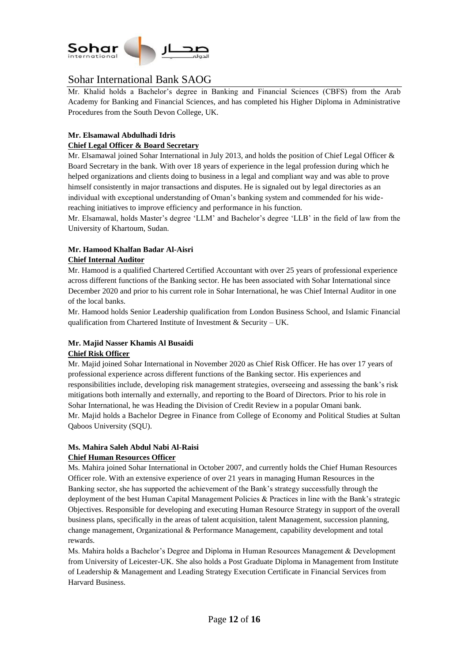

Mr. Khalid holds a Bachelor's degree in Banking and Financial Sciences (CBFS) from the Arab Academy for Banking and Financial Sciences, and has completed his Higher Diploma in Administrative Procedures from the South Devon College, UK.

# **Mr. Elsamawal Abdulhadi Idris**

### **Chief Legal Officer & Board Secretary**

Mr. Elsamawal joined Sohar International in July 2013, and holds the position of Chief Legal Officer & Board Secretary in the bank. With over 18 years of experience in the legal profession during which he helped organizations and clients doing to business in a legal and compliant way and was able to prove himself consistently in major transactions and disputes. He is signaled out by legal directories as an individual with exceptional understanding of Oman's banking system and commended for his widereaching initiatives to improve efficiency and performance in his function.

Mr. Elsamawal, holds Master's degree 'LLM' and Bachelor's degree 'LLB' in the field of law from the University of Khartoum, Sudan.

# **Mr. Hamood Khalfan Badar Al-Aisri Chief Internal Auditor**

Mr. Hamood is a qualified Chartered Certified Accountant with over 25 years of professional experience across different functions of the Banking sector. He has been associated with Sohar International since December 2020 and prior to his current role in Sohar International, he was Chief Internal Auditor in one of the local banks.

Mr. Hamood holds Senior Leadership qualification from London Business School, and Islamic Financial qualification from Chartered Institute of Investment & Security – UK.

### **Mr. Majid Nasser Khamis Al Busaidi Chief Risk Officer**

Mr. Majid joined Sohar International in November 2020 as Chief Risk Officer. He has over 17 years of professional experience across different functions of the Banking sector. His experiences and responsibilities include, developing risk management strategies, overseeing and assessing the bank's risk mitigations both internally and externally, and reporting to the Board of Directors. Prior to his role in Sohar International, he was Heading the Division of Credit Review in a popular Omani bank. Mr. Majid holds a Bachelor Degree in Finance from College of Economy and Political Studies at Sultan Qaboos University (SQU).

# **Ms. Mahira Saleh Abdul Nabi Al-Raisi**

### **Chief Human Resources Officer**

Ms. Mahira joined Sohar International in October 2007, and currently holds the Chief Human Resources Officer role. With an extensive experience of over 21 years in managing Human Resources in the Banking sector, she has supported the achievement of the Bank's strategy successfully through the deployment of the best Human Capital Management Policies & Practices in line with the Bank's strategic Objectives. Responsible for developing and executing Human Resource Strategy in support of the overall business plans, specifically in the areas of talent acquisition, talent Management, succession planning, change management, Organizational & Performance Management, capability development and total rewards.

Ms. Mahira holds a Bachelor's Degree and Diploma in Human Resources Management & Development from University of Leicester-UK. She also holds a Post Graduate Diploma in Management from Institute of Leadership & Management and Leading Strategy Execution Certificate in Financial Services from Harvard Business.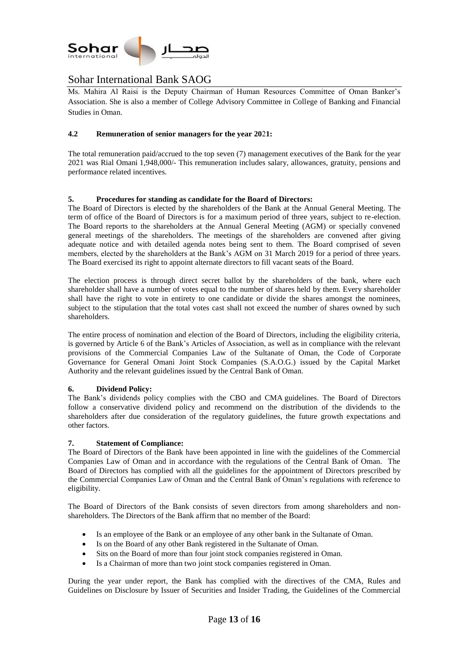

Ms. Mahira Al Raisi is the Deputy Chairman of Human Resources Committee of Oman Banker's Association. She is also a member of College Advisory Committee in College of Banking and Financial Studies in Oman.

### **4.2 Remuneration of senior managers for the year 20**2**1:**

The total remuneration paid/accrued to the top seven (7) management executives of the Bank for the year 2021 was Rial Omani 1,948,000/- This remuneration includes salary, allowances, gratuity, pensions and performance related incentives.

### **5. Procedures for standing as candidate for the Board of Directors:**

The Board of Directors is elected by the shareholders of the Bank at the Annual General Meeting. The term of office of the Board of Directors is for a maximum period of three years, subject to re-election. The Board reports to the shareholders at the Annual General Meeting (AGM) or specially convened general meetings of the shareholders. The meetings of the shareholders are convened after giving adequate notice and with detailed agenda notes being sent to them. The Board comprised of seven members, elected by the shareholders at the Bank's AGM on 31 March 2019 for a period of three years. The Board exercised its right to appoint alternate directors to fill vacant seats of the Board.

The election process is through direct secret ballot by the shareholders of the bank, where each shareholder shall have a number of votes equal to the number of shares held by them. Every shareholder shall have the right to vote in entirety to one candidate or divide the shares amongst the nominees, subject to the stipulation that the total votes cast shall not exceed the number of shares owned by such shareholders.

The entire process of nomination and election of the Board of Directors, including the eligibility criteria, is governed by Article 6 of the Bank's Articles of Association, as well as in compliance with the relevant provisions of the Commercial Companies Law of the Sultanate of Oman, the Code of Corporate Governance for General Omani Joint Stock Companies (S.A.O.G.) issued by the Capital Market Authority and the relevant guidelines issued by the Central Bank of Oman.

#### **6. Dividend Policy:**

The Bank's dividends policy complies with the CBO and CMA guidelines. The Board of Directors follow a conservative dividend policy and recommend on the distribution of the dividends to the shareholders after due consideration of the regulatory guidelines, the future growth expectations and other factors.

#### **7. Statement of Compliance:**

The Board of Directors of the Bank have been appointed in line with the guidelines of the Commercial Companies Law of Oman and in accordance with the regulations of the Central Bank of Oman. The Board of Directors has complied with all the guidelines for the appointment of Directors prescribed by the Commercial Companies Law of Oman and the Central Bank of Oman's regulations with reference to eligibility.

The Board of Directors of the Bank consists of seven directors from among shareholders and nonshareholders. The Directors of the Bank affirm that no member of the Board:

- Is an employee of the Bank or an employee of any other bank in the Sultanate of Oman.
- Is on the Board of any other Bank registered in the Sultanate of Oman.
- Sits on the Board of more than four joint stock companies registered in Oman.
- Is a Chairman of more than two joint stock companies registered in Oman.

During the year under report, the Bank has complied with the directives of the CMA, Rules and Guidelines on Disclosure by Issuer of Securities and Insider Trading, the Guidelines of the Commercial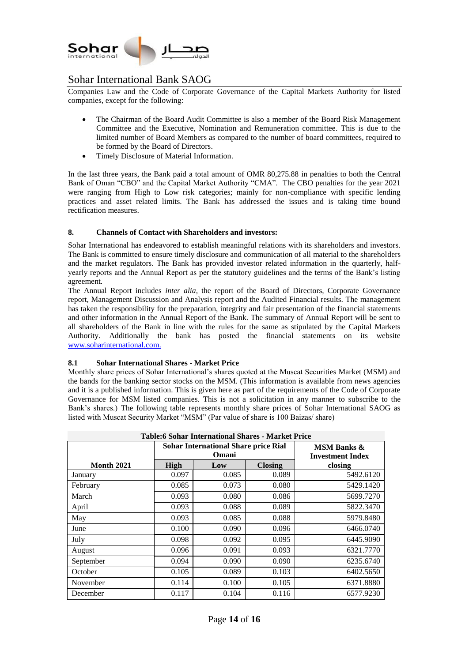

Companies Law and the Code of Corporate Governance of the Capital Markets Authority for listed companies, except for the following:

- The Chairman of the Board Audit Committee is also a member of the Board Risk Management Committee and the Executive, Nomination and Remuneration committee. This is due to the limited number of Board Members as compared to the number of board committees, required to be formed by the Board of Directors.
- Timely Disclosure of Material Information.

In the last three years, the Bank paid a total amount of OMR 80,275.88 in penalties to both the Central Bank of Oman "CBO" and the Capital Market Authority "CMA". The CBO penalties for the year 2021 were ranging from High to Low risk categories; mainly for non-compliance with specific lending practices and asset related limits. The Bank has addressed the issues and is taking time bound rectification measures.

### **8. Channels of Contact with Shareholders and investors:**

Sohar International has endeavored to establish meaningful relations with its shareholders and investors. The Bank is committed to ensure timely disclosure and communication of all material to the shareholders and the market regulators. The Bank has provided investor related information in the quarterly, halfyearly reports and the Annual Report as per the statutory guidelines and the terms of the Bank's listing agreement.

The Annual Report includes *inter alia*, the report of the Board of Directors, Corporate Governance report, Management Discussion and Analysis report and the Audited Financial results. The management has taken the responsibility for the preparation, integrity and fair presentation of the financial statements and other information in the Annual Report of the Bank. The summary of Annual Report will be sent to all shareholders of the Bank in line with the rules for the same as stipulated by the Capital Markets Authority. Additionally the bank has posted the financial statements on its website [www.soharinternational.c](http://www.soharinternational./)om.

#### **8.1 Sohar International Shares - Market Price**

Monthly share prices of Sohar International's shares quoted at the Muscat Securities Market (MSM) and the bands for the banking sector stocks on the MSM. (This information is available from news agencies and it is a published information. This is given here as part of the requirements of the Code of Corporate Governance for MSM listed companies. This is not a solicitation in any manner to subscribe to the Bank's shares.) The following table represents monthly share prices of Sohar International SAOG as listed with Muscat Security Market "MSM" (Par value of share is 100 Baizas/ share)

| <b>Table:6 Sohar International Shares - Market Price</b> |       |                                                      |                                                   |           |
|----------------------------------------------------------|-------|------------------------------------------------------|---------------------------------------------------|-----------|
|                                                          |       | <b>Sohar International Share price Rial</b><br>Omani | <b>MSM Banks &amp;</b><br><b>Investment Index</b> |           |
| <b>Month 2021</b>                                        | High  | Low                                                  | <b>Closing</b>                                    | closing   |
| January                                                  | 0.097 | 0.085                                                | 0.089                                             | 5492.6120 |
| February                                                 | 0.085 | 0.073                                                | 0.080                                             | 5429.1420 |
| March                                                    | 0.093 | 0.080                                                | 0.086                                             | 5699.7270 |
| April                                                    | 0.093 | 0.088                                                | 0.089                                             | 5822.3470 |
| May                                                      | 0.093 | 0.085                                                | 0.088                                             | 5979.8480 |
| June                                                     | 0.100 | 0.090                                                | 0.096                                             | 6466.0740 |
| July                                                     | 0.098 | 0.092                                                | 0.095                                             | 6445.9090 |
| August                                                   | 0.096 | 0.091                                                | 0.093                                             | 6321.7770 |
| September                                                | 0.094 | 0.090                                                | 0.090                                             | 6235.6740 |
| October                                                  | 0.105 | 0.089                                                | 0.103                                             | 6402.5650 |
| November                                                 | 0.114 | 0.100                                                | 0.105                                             | 6371.8880 |
| December                                                 | 0.117 | 0.104                                                | 0.116                                             | 6577.9230 |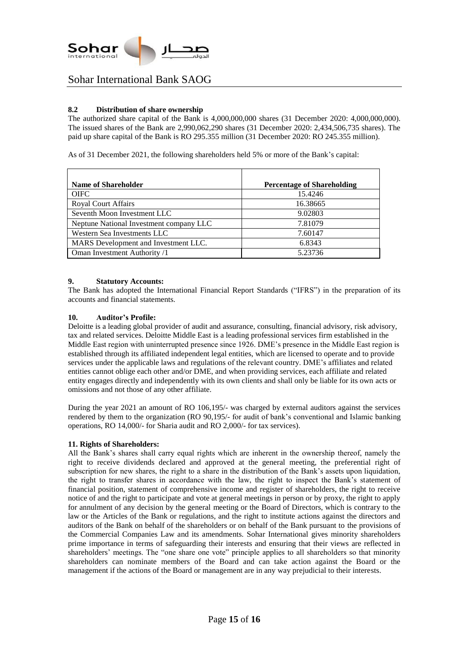

### **8.2 Distribution of share ownership**

The authorized share capital of the Bank is 4,000,000,000 shares (31 December 2020: 4,000,000,000). The issued shares of the Bank are 2,990,062,290 shares (31 December 2020: 2,434,506,735 shares). The paid up share capital of the Bank is RO 295.355 million (31 December 2020: RO 245.355 million).

As of 31 December 2021, the following shareholders held 5% or more of the Bank's capital:

| <b>Name of Shareholder</b>              | <b>Percentage of Shareholding</b> |
|-----------------------------------------|-----------------------------------|
| <b>OIFC</b>                             | 15.4246                           |
| <b>Royal Court Affairs</b>              | 16.38665                          |
| Seventh Moon Investment LLC             | 9.02803                           |
| Neptune National Investment company LLC | 7.81079                           |
| Western Sea Investments LLC             | 7.60147                           |
| MARS Development and Investment LLC.    | 6.8343                            |
| Oman Investment Authority /1            | 5.23736                           |

#### **9. Statutory Accounts:**

The Bank has adopted the International Financial Report Standards ("IFRS") in the preparation of its accounts and financial statements.

#### **10. Auditor's Profile:**

Deloitte is a leading global provider of audit and assurance, consulting, financial advisory, risk advisory, tax and related services. Deloitte Middle East is a leading professional services firm established in the Middle East region with uninterrupted presence since 1926. DME's presence in the Middle East region is established through its affiliated independent legal entities, which are licensed to operate and to provide services under the applicable laws and regulations of the relevant country. DME's affiliates and related entities cannot oblige each other and/or DME, and when providing services, each affiliate and related entity engages directly and independently with its own clients and shall only be liable for its own acts or omissions and not those of any other affiliate.

During the year 2021 an amount of RO 106,195/- was charged by external auditors against the services rendered by them to the organization (RO 90,195/- for audit of bank's conventional and Islamic banking operations, RO 14,000/- for Sharia audit and RO 2,000/- for tax services).

#### **11. Rights of Shareholders:**

All the Bank's shares shall carry equal rights which are inherent in the ownership thereof, namely the right to receive dividends declared and approved at the general meeting, the preferential right of subscription for new shares, the right to a share in the distribution of the Bank's assets upon liquidation, the right to transfer shares in accordance with the law, the right to inspect the Bank's statement of financial position, statement of comprehensive income and register of shareholders, the right to receive notice of and the right to participate and vote at general meetings in person or by proxy, the right to apply for annulment of any decision by the general meeting or the Board of Directors, which is contrary to the law or the Articles of the Bank or regulations, and the right to institute actions against the directors and auditors of the Bank on behalf of the shareholders or on behalf of the Bank pursuant to the provisions of the Commercial Companies Law and its amendments. Sohar International gives minority shareholders prime importance in terms of safeguarding their interests and ensuring that their views are reflected in shareholders' meetings. The "one share one vote" principle applies to all shareholders so that minority shareholders can nominate members of the Board and can take action against the Board or the management if the actions of the Board or management are in any way prejudicial to their interests.